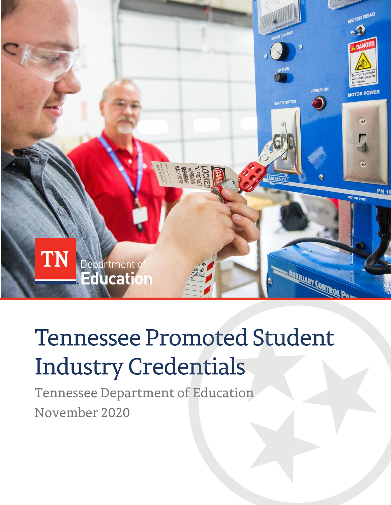

# **Tennessee Promoted Student Industry Credentials**

Tennessee Department of Education November 2020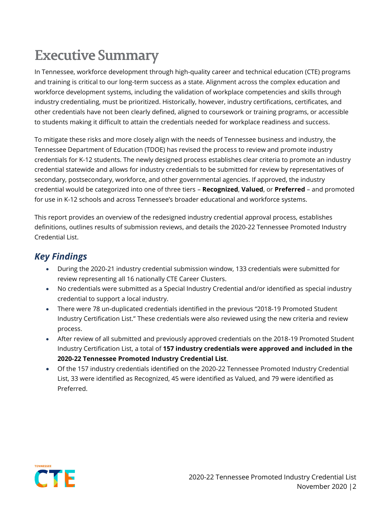## **Executive Summary**

In Tennessee, workforce development through high-quality career and technical education (CTE) programs and training is critical to our long-term success as a state. Alignment across the complex education and workforce development systems, including the validation of workplace competencies and skills through industry credentialing, must be prioritized. Historically, however, industry certifications, certificates, and other credentials have not been clearly defined, aligned to coursework or training programs, or accessible to students making it difficult to attain the credentials needed for workplace readiness and success.

To mitigate these risks and more closely align with the needs of Tennessee business and industry, the Tennessee Department of Education (TDOE) has revised the process to review and promote industry credentials for K-12 students. The newly designed process establishes clear criteria to promote an industry credential statewide and allows for industry credentials to be submitted for review by representatives of secondary, postsecondary, workforce, and other governmental agencies. If approved, the industry credential would be categorized into one of three tiers – **Recognized**, **Valued**, or **Preferred** – and promoted for use in K-12 schools and across Tennessee's broader educational and workforce systems.

This report provides an overview of the redesigned industry credential approval process, establishes definitions, outlines results of submission reviews, and details the 2020-22 Tennessee Promoted Industry Credential List.

### *Key Findings*

- During the 2020-21 industry credential submission window, 133 credentials were submitted for review representing all 16 nationally CTE Career Clusters.
- No credentials were submitted as a Special Industry Credential and/or identified as special industry credential to support a local industry.
- There were 78 un-duplicated credentials identified in the previous "2018-19 Promoted Student Industry Certification List." These credentials were also reviewed using the new criteria and review process.
- After review of all submitted and previously approved credentials on the 2018-19 Promoted Student Industry Certification List, a total of **157 industry credentials were approved and included in the 2020-22 Tennessee Promoted Industry Credential List**.
- Of the 157 industry credentials identified on the 2020-22 Tennessee Promoted Industry Credential List, 33 were identified as Recognized, 45 were identified as Valued, and 79 were identified as Preferred.

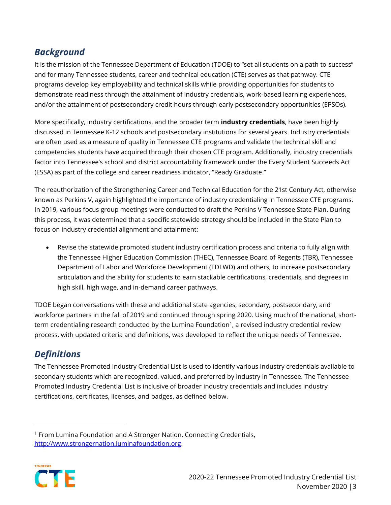#### *Background*

It is the mission of the Tennessee Department of Education (TDOE) to "set all students on a path to success" and for many Tennessee students, career and technical education (CTE) serves as that pathway. CTE programs develop key employability and technical skills while providing opportunities for students to demonstrate readiness through the attainment of industry credentials, work-based learning experiences, and/or the attainment of postsecondary credit hours through early postsecondary opportunities (EPSOs).

More specifically, industry certifications, and the broader term **industry credentials**, have been highly discussed in Tennessee K-12 schools and postsecondary institutions for several years. Industry credentials are often used as a measure of quality in Tennessee CTE programs and validate the technical skill and competencies students have acquired through their chosen CTE program. Additionally, industry credentials factor into Tennessee's school and district accountability framework under the Every Student Succeeds Act (ESSA) as part of the college and career readiness indicator, "Ready Graduate."

The reauthorization of the Strengthening Career and Technical Education for the 21st Century Act, otherwise known as Perkins V, again highlighted the importance of industry credentialing in Tennessee CTE programs. In 2019, various focus group meetings were conducted to draft the Perkins V Tennessee State Plan. During this process, it was determined that a specific statewide strategy should be included in the State Plan to focus on industry credential alignment and attainment:

• Revise the statewide promoted student industry certification process and criteria to fully align with the Tennessee Higher Education Commission (THEC), Tennessee Board of Regents (TBR), Tennessee Department of Labor and Workforce Development (TDLWD) and others, to increase postsecondary articulation and the ability for students to earn stackable certifications, credentials, and degrees in high skill, high wage, and in-demand career pathways.

TDOE began conversations with these and additional state agencies, secondary, postsecondary, and workforce partners in the fall of 2019 and continued through spring 2020. Using much of the national, shortterm credentialing research conducted by the Lumina Foundation $^{\text{1}}$ , a revised industry credential review process, with updated criteria and definitions, was developed to reflect the unique needs of Tennessee.

#### *Definitions*

The Tennessee Promoted Industry Credential List is used to identify various industry credentials available to secondary students which are recognized, valued, and preferred by industry in Tennessee. The Tennessee Promoted Industry Credential List is inclusive of broader industry credentials and includes industry certifications, certificates, licenses, and badges, as defined below.

<sup>1</sup> From Lumina Foundation and A Stronger Nation, Connecting Credentials, [http://www.strongernation.luminafoundation.org.](http://www.strongernation.luminafoundation.org/)

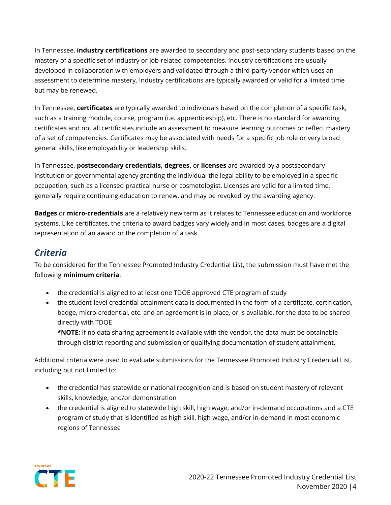In Tennessee, **industry certifications** are awarded to secondary and post-secondary students based on the mastery of a specific set of industry or job-related competencies. Industry certifications are usually developed in collaboration with employers and validated through a third-party vendor which uses an assessment to determine mastery. Industry certifications are typically awarded or valid for a limited time but may be renewed.

In Tennessee, **certificates** are typically awarded to individuals based on the completion of a specific task, such as a training module, course, program (i.e. apprenticeship), etc. There is no standard for awarding certificates and not all certificates include an assessment to measure learning outcomes or reflect mastery of a set of competencies. Certificates may be associated with needs for a specific job role or very broad general skills, like employability or leadership skills.

In Tennessee, **postsecondary credentials, degrees,** or **licenses** are awarded by a postsecondary institution or governmental agency granting the individual the legal ability to be employed in a specific occupation, such as a licensed practical nurse or cosmetologist. Licenses are valid for a limited time, generally require continuing education to renew, and may be revoked by the awarding agency.

**Badges** or **micro-credentials** are a relatively new term as it relates to Tennessee education and workforce systems. Like certificates, the criteria to award badges vary widely and in most cases, badges are a digital representation of an award or the completion of a task.

#### *Criteria*

To be considered for the Tennessee Promoted Industry Credential List, the submission must have met the following **minimum criteria**:

- the credential is aligned to at least one TDOE approved CTE program of study
- the student-level credential attainment data is documented in the form of a certificate, certification, badge, micro-credential, etc. and an agreement is in place, or is available, for the data to be shared directly with TDOE

**\*NOTE:** If no data sharing agreement is available with the vendor, the data must be obtainable through district reporting and submission of qualifying documentation of student attainment.

Additional criteria were used to evaluate submissions for the Tennessee Promoted Industry Credential List, including but not limited to:

- the credential has statewide or national recognition and is based on student mastery of relevant skills, knowledge, and/or demonstration
- the credential is aligned to statewide high skill, high wage, and/or in-demand occupations and a CTE program of study that is identified as high skill, high wage, and/or in-demand in most economic regions of Tennessee

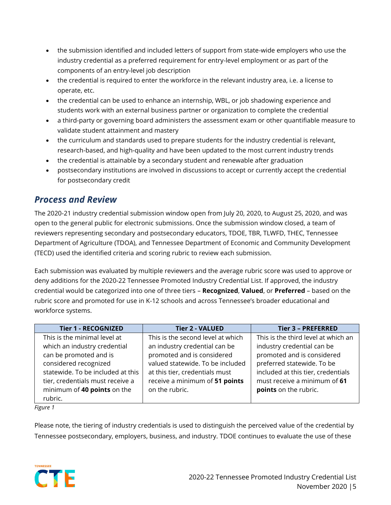- the submission identified and included letters of support from state-wide employers who use the industry credential as a preferred requirement for entry-level employment or as part of the components of an entry-level job description
- the credential is required to enter the workforce in the relevant industry area, i.e. a license to operate, etc.
- the credential can be used to enhance an internship, WBL, or job shadowing experience and students work with an external business partner or organization to complete the credential
- a third-party or governing board administers the assessment exam or other quantifiable measure to validate student attainment and mastery
- the curriculum and standards used to prepare students for the industry credential is relevant, research-based, and high-quality and have been updated to the most current industry trends
- the credential is attainable by a secondary student and renewable after graduation
- postsecondary institutions are involved in discussions to accept or currently accept the credential for postsecondary credit

#### *Process and Review*

The 2020-21 industry credential submission window open from July 20, 2020, to August 25, 2020, and was open to the general public for electronic submissions. Once the submission window closed, a team of reviewers representing secondary and postsecondary educators, TDOE, TBR, TLWFD, THEC, Tennessee Department of Agriculture (TDOA), and Tennessee Department of Economic and Community Development (TECD) used the identified criteria and scoring rubric to review each submission.

Each submission was evaluated by multiple reviewers and the average rubric score was used to approve or deny additions for the 2020-22 Tennessee Promoted Industry Credential List. If approved, the industry credential would be categorized into one of three tiers – **Recognized**, **Valued**, or **Preferred** – based on the rubric score and promoted for use in K-12 schools and across Tennessee's broader educational and workforce systems.

| <b>Tier 1 - RECOGNIZED</b>        | <b>Tier 2 - VALUED</b>            | <b>Tier 3 - PREFERRED</b>           |
|-----------------------------------|-----------------------------------|-------------------------------------|
| This is the minimal level at      | This is the second level at which | This is the third level at which an |
| which an industry credential      | an industry credential can be     | industry credential can be          |
| can be promoted and is            | promoted and is considered        | promoted and is considered          |
| considered recognized             | valued statewide. To be included  | preferred statewide. To be          |
| statewide. To be included at this | at this tier, credentials must    | included at this tier, credentials  |
| tier, credentials must receive a  | receive a minimum of 51 points    | must receive a minimum of 61        |
| minimum of 40 points on the       | on the rubric.                    | points on the rubric.               |
| rubric.                           |                                   |                                     |

*Figure 1*

Please note, the tiering of industry credentials is used to distinguish the perceived value of the credential by Tennessee postsecondary, employers, business, and industry. TDOE continues to evaluate the use of these

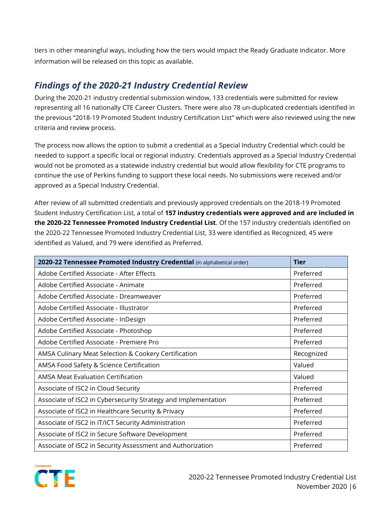tiers in other meaningful ways, including how the tiers would impact the Ready Graduate indicator. More information will be released on this topic as available.

#### *Findings of the 2020-21 Industry Credential Review*

During the 2020-21 industry credential submission window, 133 credentials were submitted for review representing all 16 nationally CTE Career Clusters. There were also 78 un-duplicated credentials identified in the previous "2018-19 Promoted Student Industry Certification List" which were also reviewed using the new criteria and review process.

The process now allows the option to submit a credential as a Special Industry Credential which could be needed to support a specific local or regional industry. Credentials approved as a Special Industry Credential would not be promoted as a statewide industry credential but would allow flexibility for CTE programs to continue the use of Perkins funding to support these local needs. No submissions were received and/or approved as a Special Industry Credential.

After review of all submitted credentials and previously approved credentials on the 2018-19 Promoted Student Industry Certification List, a total of **157 industry credentials were approved and are included in the 2020-22 Tennessee Promoted Industry Credential List**. Of the 157 industry credentials identified on the 2020-22 Tennessee Promoted Industry Credential List, 33 were identified as Recognized, 45 were identified as Valued, and 79 were identified as Preferred.

| 2020-22 Tennessee Promoted Industry Credential (in alphabetical order) | <b>Tier</b> |
|------------------------------------------------------------------------|-------------|
| Adobe Certified Associate - After Effects                              | Preferred   |
| Adobe Certified Associate - Animate                                    | Preferred   |
| Adobe Certified Associate - Dreamweaver                                | Preferred   |
| Adobe Certified Associate - Illustrator                                | Preferred   |
| Adobe Certified Associate - InDesign                                   | Preferred   |
| Adobe Certified Associate - Photoshop                                  | Preferred   |
| Adobe Certified Associate - Premiere Pro                               | Preferred   |
| AMSA Culinary Meat Selection & Cookery Certification                   | Recognized  |
| AMSA Food Safety & Science Certification                               | Valued      |
| AMSA Meat Evaluation Certification                                     | Valued      |
| Associate of ISC2 in Cloud Security                                    | Preferred   |
| Associate of ISC2 in Cybersecurity Strategy and Implementation         | Preferred   |
| Associate of ISC2 in Healthcare Security & Privacy                     | Preferred   |
| Associate of ISC2 in IT/ICT Security Administration                    | Preferred   |
| Associate of ISC2 in Secure Software Development                       | Preferred   |
| Associate of ISC2 in Security Assessment and Authorization             | Preferred   |

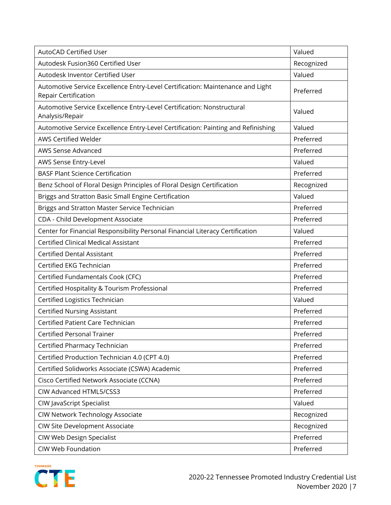| <b>AutoCAD Certified User</b>                                                                          | Valued     |
|--------------------------------------------------------------------------------------------------------|------------|
| Autodesk Fusion360 Certified User                                                                      | Recognized |
| Autodesk Inventor Certified User                                                                       | Valued     |
| Automotive Service Excellence Entry-Level Certification: Maintenance and Light<br>Repair Certification | Preferred  |
| Automotive Service Excellence Entry-Level Certification: Nonstructural<br>Analysis/Repair              | Valued     |
| Automotive Service Excellence Entry-Level Certification: Painting and Refinishing                      | Valued     |
| <b>AWS Certified Welder</b>                                                                            | Preferred  |
| <b>AWS Sense Advanced</b>                                                                              | Preferred  |
| AWS Sense Entry-Level                                                                                  | Valued     |
| <b>BASF Plant Science Certification</b>                                                                | Preferred  |
| Benz School of Floral Design Principles of Floral Design Certification                                 | Recognized |
| Briggs and Stratton Basic Small Engine Certification                                                   | Valued     |
| Briggs and Stratton Master Service Technician                                                          | Preferred  |
| CDA - Child Development Associate                                                                      | Preferred  |
| Center for Financial Responsibility Personal Financial Literacy Certification                          | Valued     |
| <b>Certified Clinical Medical Assistant</b>                                                            | Preferred  |
| <b>Certified Dental Assistant</b>                                                                      | Preferred  |
| Certified EKG Technician                                                                               | Preferred  |
| Certified Fundamentals Cook (CFC)                                                                      | Preferred  |
| Certified Hospitality & Tourism Professional                                                           | Preferred  |
| Certified Logistics Technician                                                                         | Valued     |
| <b>Certified Nursing Assistant</b>                                                                     | Preferred  |
| <b>Certified Patient Care Technician</b>                                                               | Preferred  |
| <b>Certified Personal Trainer</b>                                                                      | Preferred  |
| Certified Pharmacy Technician                                                                          | Preferred  |
| Certified Production Technician 4.0 (CPT 4.0)                                                          | Preferred  |
| Certified Solidworks Associate (CSWA) Academic                                                         | Preferred  |
| Cisco Certified Network Associate (CCNA)                                                               | Preferred  |
| CIW Advanced HTML5/CSS3                                                                                | Preferred  |
| CIW JavaScript Specialist                                                                              | Valued     |
| CIW Network Technology Associate                                                                       | Recognized |
| CIW Site Development Associate                                                                         | Recognized |
| CIW Web Design Specialist                                                                              | Preferred  |
| CIW Web Foundation                                                                                     | Preferred  |

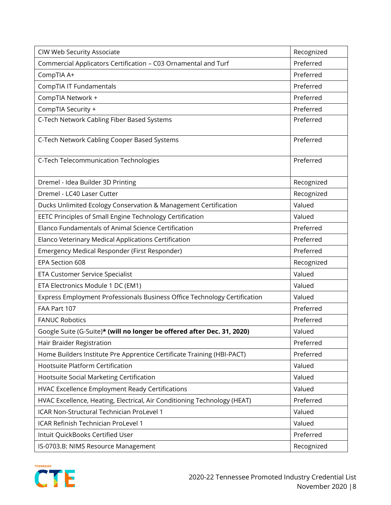| CIW Web Security Associate                                                | Recognized |
|---------------------------------------------------------------------------|------------|
| Commercial Applicators Certification - C03 Ornamental and Turf            | Preferred  |
| CompTIA A+                                                                | Preferred  |
| CompTIA IT Fundamentals                                                   | Preferred  |
| CompTIA Network +                                                         | Preferred  |
| CompTIA Security +                                                        | Preferred  |
| C-Tech Network Cabling Fiber Based Systems                                | Preferred  |
|                                                                           |            |
| C-Tech Network Cabling Cooper Based Systems                               | Preferred  |
| C-Tech Telecommunication Technologies                                     | Preferred  |
|                                                                           |            |
| Dremel - Idea Builder 3D Printing                                         | Recognized |
| Dremel - LC40 Laser Cutter                                                | Recognized |
| Ducks Unlimited Ecology Conservation & Management Certification           | Valued     |
| EETC Principles of Small Engine Technology Certification                  | Valued     |
| Elanco Fundamentals of Animal Science Certification                       | Preferred  |
| Elanco Veterinary Medical Applications Certification                      | Preferred  |
| Emergency Medical Responder (First Responder)                             | Preferred  |
| EPA Section 608                                                           | Recognized |
| ETA Customer Service Specialist                                           | Valued     |
| ETA Electronics Module 1 DC (EM1)                                         | Valued     |
| Express Employment Professionals Business Office Technology Certification | Valued     |
| FAA Part 107                                                              | Preferred  |
| <b>FANUC Robotics</b>                                                     | Preferred  |
| Google Suite (G-Suite)* (will no longer be offered after Dec. 31, 2020)   | Valued     |
| Hair Braider Registration                                                 | Preferred  |
| Home Builders Institute Pre Apprentice Certificate Training (HBI-PACT)    | Preferred  |
| Hootsuite Platform Certification                                          | Valued     |
| Hootsuite Social Marketing Certification                                  | Valued     |
| <b>HVAC Excellence Employment Ready Certifications</b>                    | Valued     |
| HVAC Excellence, Heating, Electrical, Air Conditioning Technology (HEAT)  | Preferred  |
| ICAR Non-Structural Technician ProLevel 1                                 | Valued     |
| ICAR Refinish Technician ProLevel 1                                       | Valued     |
| Intuit QuickBooks Certified User                                          | Preferred  |
| IS-0703.B: NIMS Resource Management                                       | Recognized |

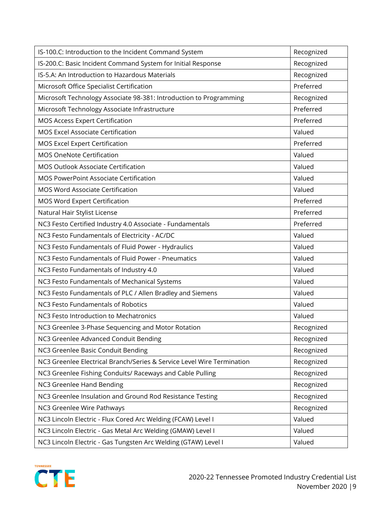| IS-100.C: Introduction to the Incident Command System                  | Recognized |
|------------------------------------------------------------------------|------------|
| IS-200.C: Basic Incident Command System for Initial Response           | Recognized |
| IS-5.A: An Introduction to Hazardous Materials                         | Recognized |
| Microsoft Office Specialist Certification                              | Preferred  |
| Microsoft Technology Associate 98-381: Introduction to Programming     | Recognized |
| Microsoft Technology Associate Infrastructure                          | Preferred  |
| <b>MOS Access Expert Certification</b>                                 | Preferred  |
| <b>MOS Excel Associate Certification</b>                               | Valued     |
| MOS Excel Expert Certification                                         | Preferred  |
| <b>MOS OneNote Certification</b>                                       | Valued     |
| <b>MOS Outlook Associate Certification</b>                             | Valued     |
| <b>MOS PowerPoint Associate Certification</b>                          | Valued     |
| <b>MOS Word Associate Certification</b>                                | Valued     |
| MOS Word Expert Certification                                          | Preferred  |
| Natural Hair Stylist License                                           | Preferred  |
| NC3 Festo Certified Industry 4.0 Associate - Fundamentals              | Preferred  |
| NC3 Festo Fundamentals of Electricity - AC/DC                          | Valued     |
| NC3 Festo Fundamentals of Fluid Power - Hydraulics                     | Valued     |
| NC3 Festo Fundamentals of Fluid Power - Pneumatics                     | Valued     |
| NC3 Festo Fundamentals of Industry 4.0                                 | Valued     |
| NC3 Festo Fundamentals of Mechanical Systems                           | Valued     |
| NC3 Festo Fundamentals of PLC / Allen Bradley and Siemens              | Valued     |
| NC3 Festo Fundamentals of Robotics                                     | Valued     |
| NC3 Festo Introduction to Mechatronics                                 | Valued     |
| NC3 Greenlee 3-Phase Sequencing and Motor Rotation                     | Recognized |
| NC3 Greenlee Advanced Conduit Bending                                  | Recognized |
| NC3 Greenlee Basic Conduit Bending                                     | Recognized |
| NC3 Greenlee Electrical Branch/Series & Service Level Wire Termination | Recognized |
| NC3 Greenlee Fishing Conduits/ Raceways and Cable Pulling              | Recognized |
| NC3 Greenlee Hand Bending                                              | Recognized |
| NC3 Greenlee Insulation and Ground Rod Resistance Testing              | Recognized |
| NC3 Greenlee Wire Pathways                                             | Recognized |
| NC3 Lincoln Electric - Flux Cored Arc Welding (FCAW) Level I           | Valued     |
| NC3 Lincoln Electric - Gas Metal Arc Welding (GMAW) Level I            | Valued     |
| NC3 Lincoln Electric - Gas Tungsten Arc Welding (GTAW) Level I         | Valued     |

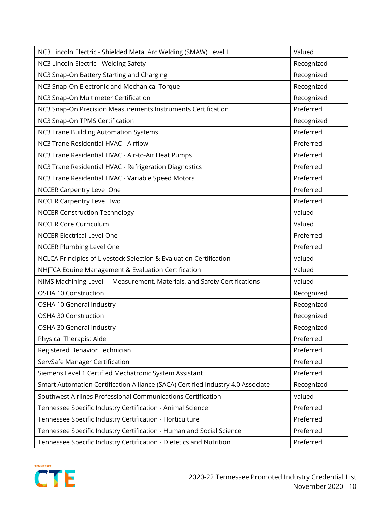| NC3 Lincoln Electric - Shielded Metal Arc Welding (SMAW) Level I                | Valued     |
|---------------------------------------------------------------------------------|------------|
| NC3 Lincoln Electric - Welding Safety                                           | Recognized |
| NC3 Snap-On Battery Starting and Charging                                       | Recognized |
| NC3 Snap-On Electronic and Mechanical Torque                                    | Recognized |
| NC3 Snap-On Multimeter Certification                                            | Recognized |
| NC3 Snap-On Precision Measurements Instruments Certification                    | Preferred  |
| NC3 Snap-On TPMS Certification                                                  | Recognized |
| <b>NC3 Trane Building Automation Systems</b>                                    | Preferred  |
| NC3 Trane Residential HVAC - Airflow                                            | Preferred  |
| NC3 Trane Residential HVAC - Air-to-Air Heat Pumps                              | Preferred  |
| NC3 Trane Residential HVAC - Refrigeration Diagnostics                          | Preferred  |
| NC3 Trane Residential HVAC - Variable Speed Motors                              | Preferred  |
| <b>NCCER Carpentry Level One</b>                                                | Preferred  |
| <b>NCCER Carpentry Level Two</b>                                                | Preferred  |
| <b>NCCER Construction Technology</b>                                            | Valued     |
| <b>NCCER Core Curriculum</b>                                                    | Valued     |
| <b>NCCER Electrical Level One</b>                                               | Preferred  |
| <b>NCCER Plumbing Level One</b>                                                 | Preferred  |
| NCLCA Principles of Livestock Selection & Evaluation Certification              | Valued     |
| NHJTCA Equine Management & Evaluation Certification                             | Valued     |
| NIMS Machining Level I - Measurement, Materials, and Safety Certifications      | Valued     |
| OSHA 10 Construction                                                            | Recognized |
| OSHA 10 General Industry                                                        | Recognized |
| OSHA 30 Construction                                                            | Recognized |
| OSHA 30 General Industry                                                        | Recognized |
| Physical Therapist Aide                                                         | Preferred  |
| Registered Behavior Technician                                                  | Preferred  |
| ServSafe Manager Certification                                                  | Preferred  |
| Siemens Level 1 Certified Mechatronic System Assistant                          | Preferred  |
| Smart Automation Certification Alliance (SACA) Certified Industry 4.0 Associate | Recognized |
| Southwest Airlines Professional Communications Certification                    | Valued     |
| Tennessee Specific Industry Certification - Animal Science                      | Preferred  |
| Tennessee Specific Industry Certification - Horticulture                        | Preferred  |
| Tennessee Specific Industry Certification - Human and Social Science            | Preferred  |
| Tennessee Specific Industry Certification - Dietetics and Nutrition             | Preferred  |